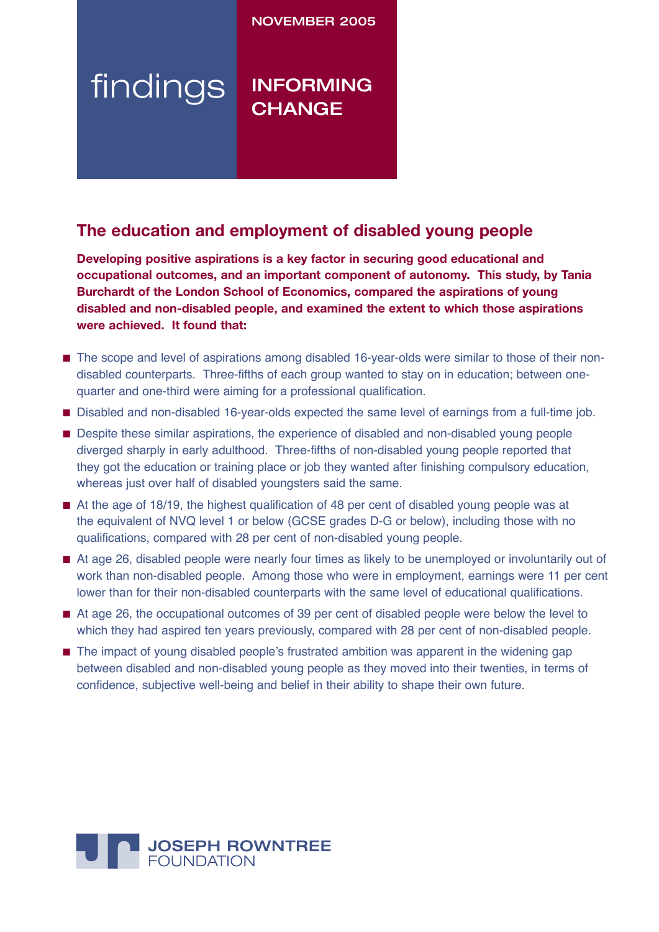### NOVEMBER 2005

# findings INFORMING **CHANGE**

## **The education and employment of disabled young people**

**Developing positive aspirations is a key factor in securing good educational and occupational outcomes, and an important component of autonomy. This study, by Tania Burchardt of the London School of Economics, compared the aspirations of young disabled and non-disabled people, and examined the extent to which those aspirations were achieved. It found that:**

- The scope and level of aspirations among disabled 16-year-olds were similar to those of their nondisabled counterparts. Three-fifths of each group wanted to stay on in education; between onequarter and one-third were aiming for a professional qualification.
- Disabled and non-disabled 16-year-olds expected the same level of earnings from a full-time job.
- Despite these similar aspirations, the experience of disabled and non-disabled young people diverged sharply in early adulthood. Three-fifths of non-disabled young people reported that they got the education or training place or job they wanted after finishing compulsory education, whereas just over half of disabled youngsters said the same.
- At the age of 18/19, the highest qualification of 48 per cent of disabled young people was at the equivalent of NVQ level 1 or below (GCSE grades D-G or below), including those with no qualifications, compared with 28 per cent of non-disabled young people.
- At age 26, disabled people were nearly four times as likely to be unemployed or involuntarily out of work than non-disabled people. Among those who were in employment, earnings were 11 per cent lower than for their non-disabled counterparts with the same level of educational qualifications.
- At age 26, the occupational outcomes of 39 per cent of disabled people were below the level to which they had aspired ten years previously, compared with 28 per cent of non-disabled people.
- The impact of young disabled people's frustrated ambition was apparent in the widening gap between disabled and non-disabled young people as they moved into their twenties, in terms of confidence, subjective well-being and belief in their ability to shape their own future.

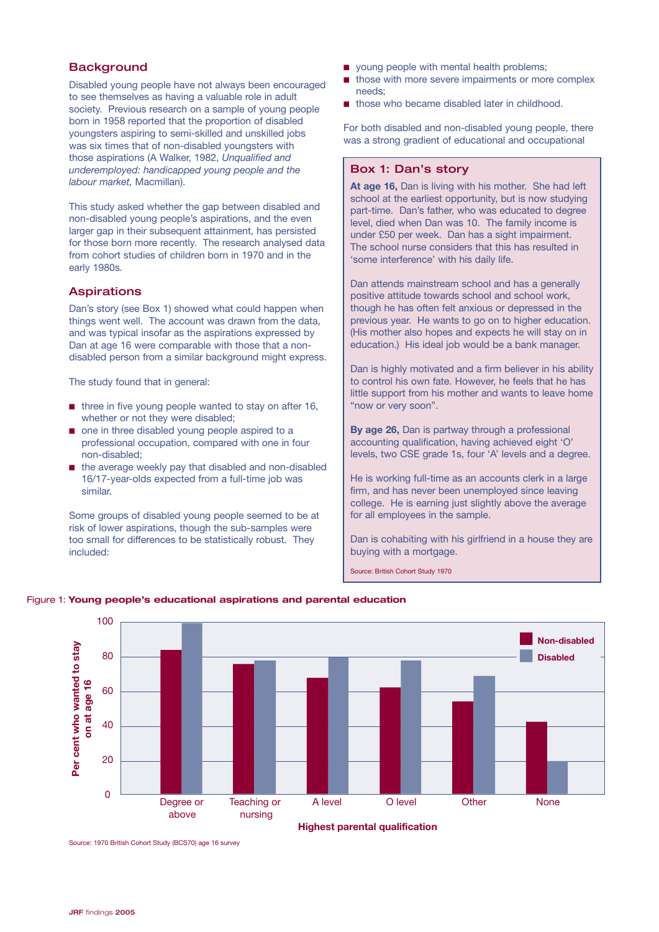### **Background**

Disabled young people have not always been encouraged to see themselves as having a valuable role in adult society. Previous research on a sample of young people born in 1958 reported that the proportion of disabled youngsters aspiring to semi-skilled and unskilled jobs was six times that of non-disabled youngsters with those aspirations (A Walker, 1982, *Unqualified and underemployed: handicapped young people and the labour market,* Macmillan).

This study asked whether the gap between disabled and non-disabled young people's aspirations, and the even larger gap in their subsequent attainment, has persisted for those born more recently. The research analysed data from cohort studies of children born in 1970 and in the early 1980s.

#### Aspirations

Dan's story (see Box 1) showed what could happen when things went well. The account was drawn from the data, and was typical insofar as the aspirations expressed by Dan at age 16 were comparable with those that a nondisabled person from a similar background might express.

The study found that in general:

- three in five young people wanted to stay on after 16, whether or not they were disabled;
- one in three disabled young people aspired to a professional occupation, compared with one in four non-disabled;
- the average weekly pay that disabled and non-disabled 16/17-year-olds expected from a full-time job was similar.

Some groups of disabled young people seemed to be at risk of lower aspirations, though the sub-samples were too small for differences to be statistically robust. They included:

- young people with mental health problems;
- those with more severe impairments or more complex needs;
- those who became disabled later in childhood.

For both disabled and non-disabled young people, there was a strong gradient of educational and occupational

#### Box 1: Dan's story

**At age 16,** Dan is living with his mother. She had left school at the earliest opportunity, but is now studying part-time. Dan's father, who was educated to degree level, died when Dan was 10. The family income is under £50 per week. Dan has a sight impairment. The school nurse considers that this has resulted in 'some interference' with his daily life.

Dan attends mainstream school and has a generally positive attitude towards school and school work, though he has often felt anxious or depressed in the previous year. He wants to go on to higher education. (His mother also hopes and expects he will stay on in education.) His ideal job would be a bank manager.

Dan is highly motivated and a firm believer in his ability to control his own fate. However, he feels that he has little support from his mother and wants to leave home "now or very soon".

**By age 26,** Dan is partway through a professional accounting qualification, having achieved eight 'O' levels, two CSE grade 1s, four 'A' levels and a degree.

He is working full-time as an accounts clerk in a large firm, and has never been unemployed since leaving college. He is earning just slightly above the average for all employees in the sample.

Dan is cohabiting with his girlfriend in a house they are buying with a mortgage.

Source: British Cohort Study 1970



#### Figure 1: **Young people's educational aspirations and parental education**

Source: 1970 British Cohort Study (BCS70) age 16 survey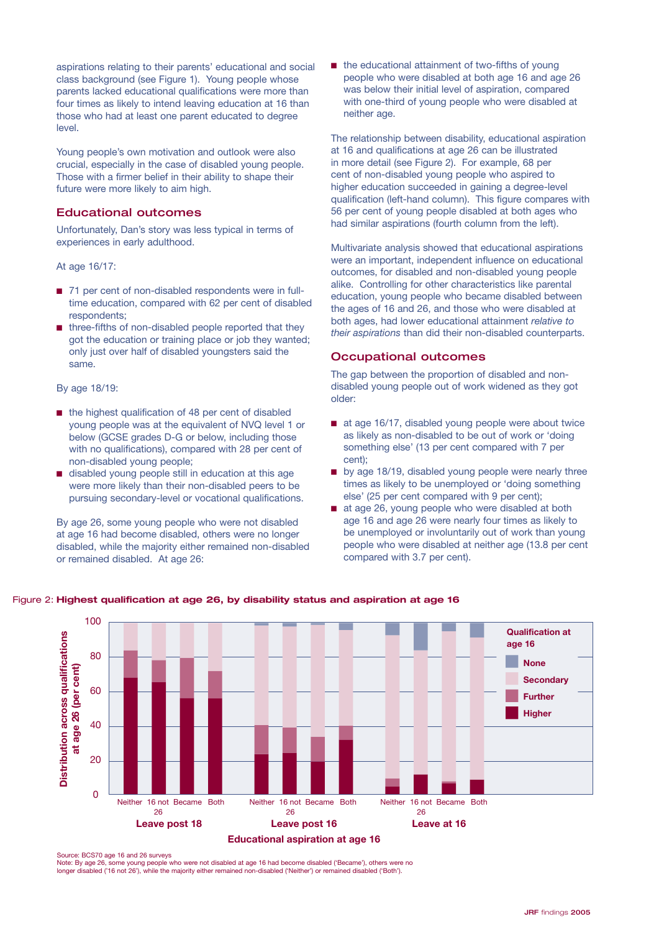aspirations relating to their parents' educational and social class background (see Figure 1). Young people whose parents lacked educational qualifications were more than four times as likely to intend leaving education at 16 than those who had at least one parent educated to degree level.

Young people's own motivation and outlook were also crucial, especially in the case of disabled young people. Those with a firmer belief in their ability to shape their future were more likely to aim high.

#### Educational outcomes

Unfortunately, Dan's story was less typical in terms of experiences in early adulthood.

At age 16/17:

- 71 per cent of non-disabled respondents were in fulltime education, compared with 62 per cent of disabled respondents;
- three-fifths of non-disabled people reported that they got the education or training place or job they wanted; only just over half of disabled youngsters said the 40 same. **Per cent who wanted to stay** res<br>:hr<br>30<br>30

#### By age 18/19:

- the highest qualification of 48 per cent of disabled young people was at the equivalent of NVQ level 1 or 0 below (GCSE grades D-G or below, including those with no qualifications), compared with 28 per cent of non-disabled young people;
- disabled young people still in education at this age were more likely than their non-disabled peers to be pursuing secondary-level or vocational qualifications.

By age 26, some young people who were not disabled at age 16 had become disabled, others were no longer disabled, while the majority either remained non-disabled or remained disabled. At age 26:

■ the educational attainment of two-fifths of young people who were disabled at both age 16 and age 26 was below their initial level of aspiration, compared with one-third of young people who were disabled at neither age.

The relationship between disability, educational aspiration at 16 and qualifications at age 26 can be illustrated in more detail (see Figure 2). For example, 68 per cent of non-disabled young people who aspired to higher education succeeded in gaining a degree-level qualification (left-hand column). This figure compares with 56 per cent of young people disabled at both ages who had similar aspirations (fourth column from the left).

Multivariate analysis showed that educational aspirations were an important, independent influence on educational outcomes, for disabled and non-disabled young people alike. Controlling for other characteristics like parental **Disabled** education, young people who became disabled between the ages of 16 and 26, and those who were disabled at both ages, had lower educational attainment *relative to their aspirations* than did their non-disabled counterparts.

#### Occupational outcomes

The gap between the proportion of disabled and nondisabled young people out of work widened as they got older:

- at age 16/17, disabled young people were about twice as likely as non-disabled to be out of work or 'doing something else' (13 per cent compared with 7 per **highest cent**);
	- by age 18/19, disabled young people were nearly three times as likely to be unemployed or 'doing something else' (25 per cent compared with 9 per cent);
	- at age 26, young people who were disabled at both age 16 and age 26 were nearly four times as likely to be unemployed or involuntarily out of work than young people who were disabled at neither age (13.8 per cent compared with 3.7 per cent).



#### **Highest qualification at age 26, by disability status and aspiration at age 16** Figure 2:

#### Source: BCS70 age 16 and 26 surveys

Note: By age 26, some young people who were not disabled at age 16 had become disabled ('Became'), others were no<br>longer disabled ('16 not 26'), while the majority either remained non-disabled ('Neither') or remained disab